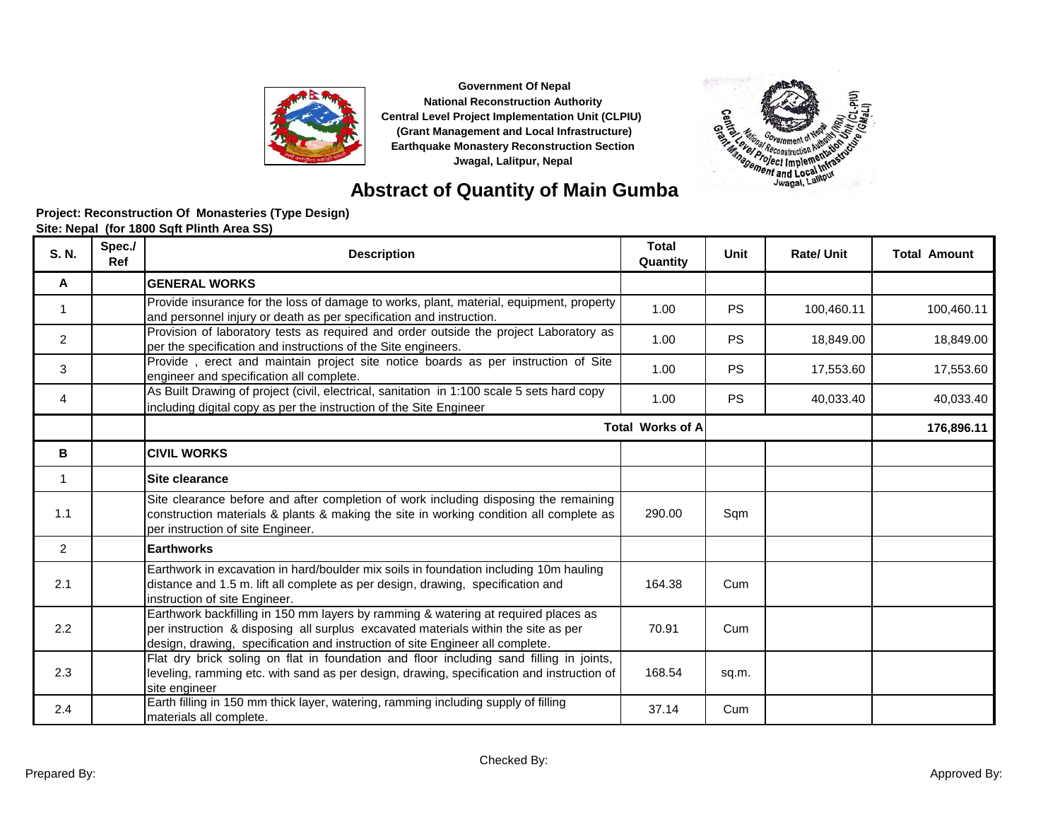



# **Abstract of Quantity of Main Gumba**

| S. N.          | Spec./<br>Ref | <b>Description</b>                                                                                                                                                                                                                                        | <b>Total</b><br>Quantity | Unit      | <b>Rate/Unit</b> | <b>Total Amount</b> |
|----------------|---------------|-----------------------------------------------------------------------------------------------------------------------------------------------------------------------------------------------------------------------------------------------------------|--------------------------|-----------|------------------|---------------------|
| A              |               | <b>GENERAL WORKS</b>                                                                                                                                                                                                                                      |                          |           |                  |                     |
|                |               | Provide insurance for the loss of damage to works, plant, material, equipment, property<br>and personnel injury or death as per specification and instruction.                                                                                            | 1.00                     | <b>PS</b> | 100,460.11       | 100,460.11          |
| $\overline{2}$ |               | Provision of laboratory tests as required and order outside the project Laboratory as<br>per the specification and instructions of the Site engineers.                                                                                                    | 1.00                     | <b>PS</b> | 18,849.00        | 18,849.00           |
| 3              |               | Provide, erect and maintain project site notice boards as per instruction of Site<br>engineer and specification all complete.                                                                                                                             | 1.00                     | <b>PS</b> | 17,553.60        | 17,553.60           |
| 4              |               | As Built Drawing of project (civil, electrical, sanitation in 1:100 scale 5 sets hard copy<br>including digital copy as per the instruction of the Site Engineer                                                                                          | 1.00                     | <b>PS</b> | 40,033.40        | 40,033.40           |
|                |               |                                                                                                                                                                                                                                                           | <b>Total Works of A</b>  |           |                  | 176,896.11          |
| В              |               | <b>CIVIL WORKS</b>                                                                                                                                                                                                                                        |                          |           |                  |                     |
| 1              |               | Site clearance                                                                                                                                                                                                                                            |                          |           |                  |                     |
| 1.1            |               | Site clearance before and after completion of work including disposing the remaining<br>construction materials & plants & making the site in working condition all complete as<br>per instruction of site Engineer.                                       | 290.00                   | Sqm       |                  |                     |
| $\overline{2}$ |               | <b>Earthworks</b>                                                                                                                                                                                                                                         |                          |           |                  |                     |
| 2.1            |               | Earthwork in excavation in hard/boulder mix soils in foundation including 10m hauling<br>distance and 1.5 m. lift all complete as per design, drawing, specification and<br>instruction of site Engineer.                                                 | 164.38                   | Cum       |                  |                     |
| 2.2            |               | Earthwork backfilling in 150 mm layers by ramming & watering at required places as<br>per instruction & disposing all surplus excavated materials within the site as per<br>design, drawing, specification and instruction of site Engineer all complete. | 70.91                    | Cum       |                  |                     |
| 2.3            |               | Flat dry brick soling on flat in foundation and floor including sand filling in joints,<br>leveling, ramming etc. with sand as per design, drawing, specification and instruction of<br>site engineer                                                     | 168.54                   | sq.m.     |                  |                     |
| 2.4            |               | Earth filling in 150 mm thick layer, watering, ramming including supply of filling<br>materials all complete.                                                                                                                                             | 37.14                    | Cum       |                  |                     |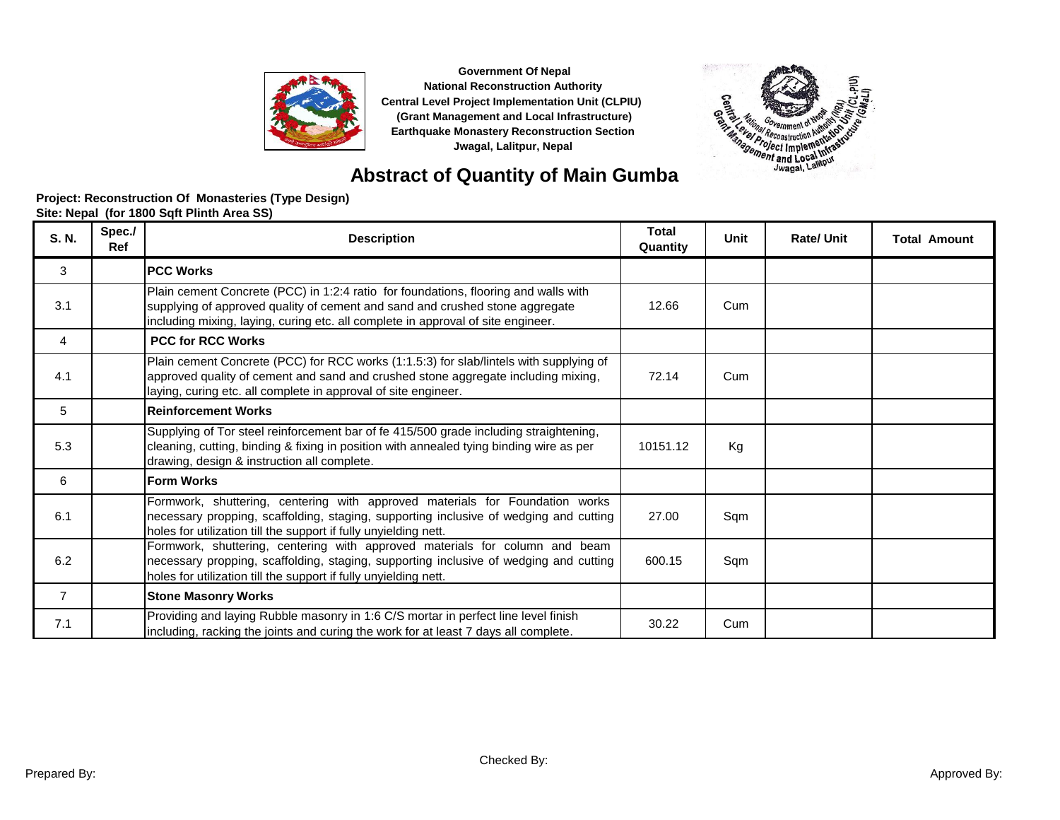



# **Abstract of Quantity of Main Gumba**

| S. N.          | Spec./<br>Ref | <b>Description</b>                                                                                                                                                                                                                                      | <b>Total</b><br>Quantity | <b>Unit</b> | <b>Rate/Unit</b> | <b>Total Amount</b> |
|----------------|---------------|---------------------------------------------------------------------------------------------------------------------------------------------------------------------------------------------------------------------------------------------------------|--------------------------|-------------|------------------|---------------------|
| 3              |               | <b>PCC Works</b>                                                                                                                                                                                                                                        |                          |             |                  |                     |
| 3.1            |               | Plain cement Concrete (PCC) in 1:2:4 ratio for foundations, flooring and walls with<br>supplying of approved quality of cement and sand and crushed stone aggregate<br>including mixing, laying, curing etc. all complete in approval of site engineer. | 12.66                    | Cum         |                  |                     |
| 4              |               | <b>PCC for RCC Works</b>                                                                                                                                                                                                                                |                          |             |                  |                     |
| 4.1            |               | Plain cement Concrete (PCC) for RCC works (1:1.5:3) for slab/lintels with supplying of<br>approved quality of cement and sand and crushed stone aggregate including mixing,<br>laying, curing etc. all complete in approval of site engineer.           | 72.14                    | Cum         |                  |                     |
| 5              |               | <b>Reinforcement Works</b>                                                                                                                                                                                                                              |                          |             |                  |                     |
| 5.3            |               | Supplying of Tor steel reinforcement bar of fe 415/500 grade including straightening,<br>cleaning, cutting, binding & fixing in position with annealed tying binding wire as per<br>drawing, design & instruction all complete.                         | 10151.12                 | Kg          |                  |                     |
| 6              |               | <b>Form Works</b>                                                                                                                                                                                                                                       |                          |             |                  |                     |
| 6.1            |               | Formwork, shuttering, centering with approved materials for Foundation works<br>necessary propping, scaffolding, staging, supporting inclusive of wedging and cutting<br>holes for utilization till the support if fully unyielding nett.               | 27.00                    | Sqm         |                  |                     |
| 6.2            |               | Formwork, shuttering, centering with approved materials for column and beam<br>necessary propping, scaffolding, staging, supporting inclusive of wedging and cutting<br>holes for utilization till the support if fully unyielding nett.                | 600.15                   | Sqm         |                  |                     |
| $\overline{7}$ |               | <b>Stone Masonry Works</b>                                                                                                                                                                                                                              |                          |             |                  |                     |
| 7.1            |               | Providing and laying Rubble masonry in 1:6 C/S mortar in perfect line level finish<br>including, racking the joints and curing the work for at least 7 days all complete.                                                                               | 30.22                    | Cum         |                  |                     |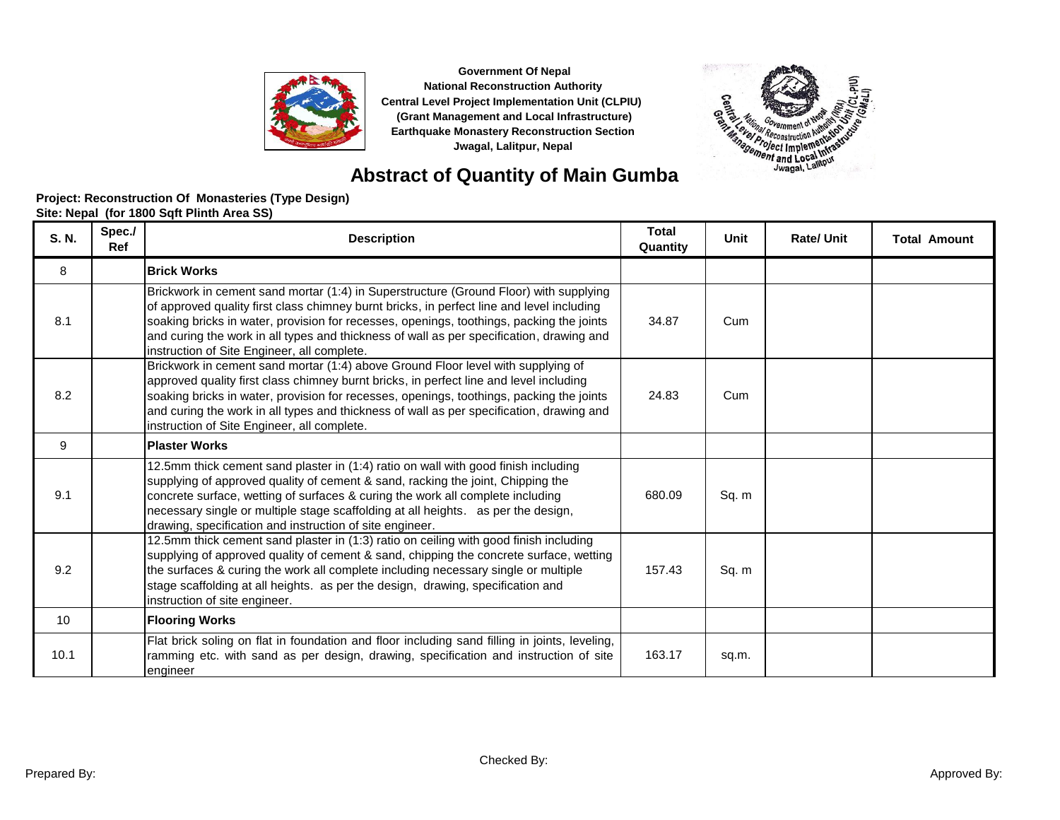



# **Abstract of Quantity of Main Gumba**

| S. N. | Spec./<br>Ref | <b>Description</b>                                                                                                                                                                                                                                                                                                                                                                                                        | <b>Total</b><br>Quantity | Unit  | <b>Rate/Unit</b> | <b>Total Amount</b> |
|-------|---------------|---------------------------------------------------------------------------------------------------------------------------------------------------------------------------------------------------------------------------------------------------------------------------------------------------------------------------------------------------------------------------------------------------------------------------|--------------------------|-------|------------------|---------------------|
| 8     |               | <b>Brick Works</b>                                                                                                                                                                                                                                                                                                                                                                                                        |                          |       |                  |                     |
| 8.1   |               | Brickwork in cement sand mortar (1:4) in Superstructure (Ground Floor) with supplying<br>of approved quality first class chimney burnt bricks, in perfect line and level including<br>soaking bricks in water, provision for recesses, openings, toothings, packing the joints<br>and curing the work in all types and thickness of wall as per specification, drawing and<br>instruction of Site Engineer, all complete. | 34.87                    | Cum   |                  |                     |
| 8.2   |               | Brickwork in cement sand mortar (1:4) above Ground Floor level with supplying of<br>approved quality first class chimney burnt bricks, in perfect line and level including<br>soaking bricks in water, provision for recesses, openings, toothings, packing the joints<br>and curing the work in all types and thickness of wall as per specification, drawing and<br>instruction of Site Engineer, all complete.         | 24.83                    | Cum   |                  |                     |
| 9     |               | <b>Plaster Works</b>                                                                                                                                                                                                                                                                                                                                                                                                      |                          |       |                  |                     |
| 9.1   |               | 12.5mm thick cement sand plaster in (1:4) ratio on wall with good finish including<br>supplying of approved quality of cement & sand, racking the joint, Chipping the<br>concrete surface, wetting of surfaces & curing the work all complete including<br>necessary single or multiple stage scaffolding at all heights. as per the design,<br>drawing, specification and instruction of site engineer.                  | 680.09                   | Sq. m |                  |                     |
| 9.2   |               | 12.5mm thick cement sand plaster in (1:3) ratio on ceiling with good finish including<br>supplying of approved quality of cement & sand, chipping the concrete surface, wetting<br>the surfaces & curing the work all complete including necessary single or multiple<br>stage scaffolding at all heights. as per the design, drawing, specification and<br>instruction of site engineer.                                 | 157.43                   | Sq. m |                  |                     |
| 10    |               | <b>Flooring Works</b>                                                                                                                                                                                                                                                                                                                                                                                                     |                          |       |                  |                     |
| 10.1  |               | Flat brick soling on flat in foundation and floor including sand filling in joints, leveling,<br>ramming etc. with sand as per design, drawing, specification and instruction of site<br>engineer                                                                                                                                                                                                                         | 163.17                   | sq.m. |                  |                     |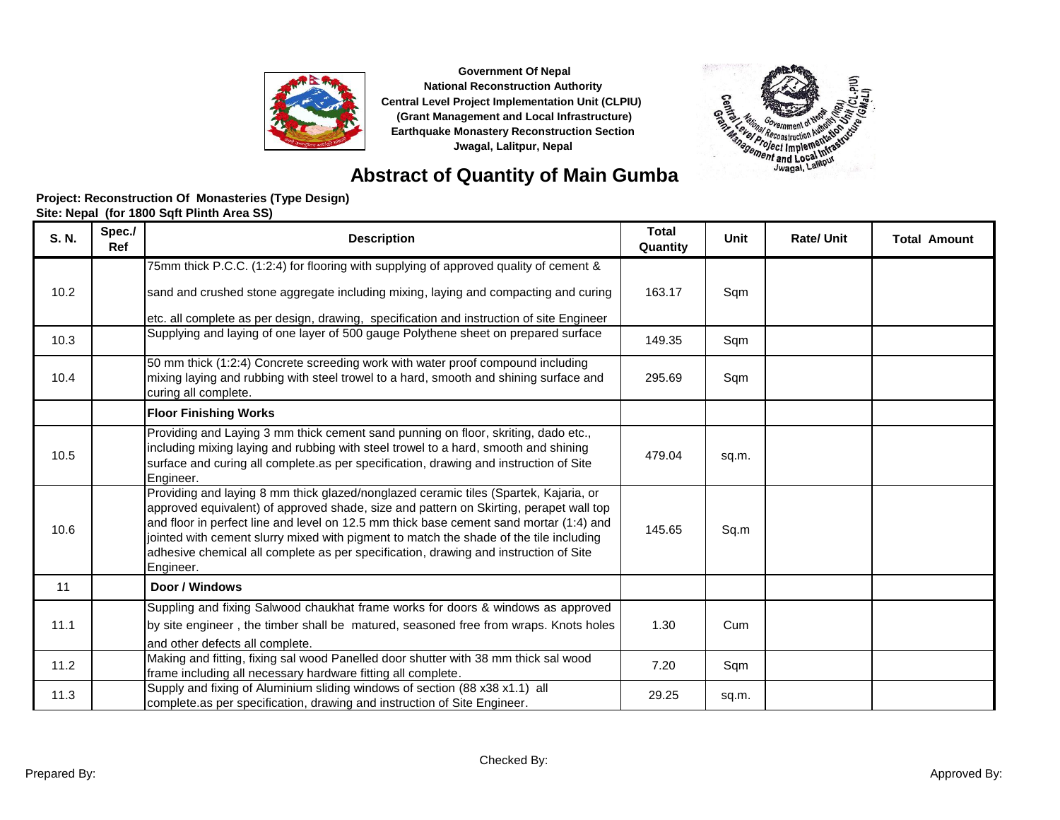



### **Abstract of Quantity of Main Gumba**

| <b>S. N.</b> | Spec./<br>Ref | <b>Description</b>                                                                                                                                                                                                                                                                                                                                                                                                                                                      | <b>Total</b><br>Quantity | Unit  | <b>Rate/Unit</b> | <b>Total Amount</b> |
|--------------|---------------|-------------------------------------------------------------------------------------------------------------------------------------------------------------------------------------------------------------------------------------------------------------------------------------------------------------------------------------------------------------------------------------------------------------------------------------------------------------------------|--------------------------|-------|------------------|---------------------|
|              |               | 75mm thick P.C.C. (1:2:4) for flooring with supplying of approved quality of cement &                                                                                                                                                                                                                                                                                                                                                                                   |                          |       |                  |                     |
| 10.2         |               | sand and crushed stone aggregate including mixing, laying and compacting and curing                                                                                                                                                                                                                                                                                                                                                                                     | 163.17                   | Sqm   |                  |                     |
|              |               | etc. all complete as per design, drawing, specification and instruction of site Engineer                                                                                                                                                                                                                                                                                                                                                                                |                          |       |                  |                     |
| 10.3         |               | Supplying and laying of one layer of 500 gauge Polythene sheet on prepared surface                                                                                                                                                                                                                                                                                                                                                                                      | 149.35                   | Sqm   |                  |                     |
| 10.4         |               | 50 mm thick (1:2:4) Concrete screeding work with water proof compound including<br>mixing laying and rubbing with steel trowel to a hard, smooth and shining surface and<br>curing all complete.                                                                                                                                                                                                                                                                        | 295.69                   | Sqm   |                  |                     |
|              |               | <b>Floor Finishing Works</b>                                                                                                                                                                                                                                                                                                                                                                                                                                            |                          |       |                  |                     |
| 10.5         |               | Providing and Laying 3 mm thick cement sand punning on floor, skriting, dado etc.,<br>including mixing laying and rubbing with steel trowel to a hard, smooth and shining<br>surface and curing all complete as per specification, drawing and instruction of Site<br>Engineer.                                                                                                                                                                                         | 479.04                   | sq.m. |                  |                     |
| 10.6         |               | Providing and laying 8 mm thick glazed/nonglazed ceramic tiles (Spartek, Kajaria, or<br>approved equivalent) of approved shade, size and pattern on Skirting, perapet wall top<br>and floor in perfect line and level on 12.5 mm thick base cement sand mortar (1:4) and<br>jointed with cement slurry mixed with pigment to match the shade of the tile including<br>adhesive chemical all complete as per specification, drawing and instruction of Site<br>Engineer. | 145.65                   | Sq.m  |                  |                     |
| 11           |               | Door / Windows                                                                                                                                                                                                                                                                                                                                                                                                                                                          |                          |       |                  |                     |
| 11.1         |               | Suppling and fixing Salwood chaukhat frame works for doors & windows as approved<br>by site engineer, the timber shall be matured, seasoned free from wraps. Knots holes<br>and other defects all complete.                                                                                                                                                                                                                                                             | 1.30                     | Cum   |                  |                     |
| 11.2         |               | Making and fitting, fixing sal wood Panelled door shutter with 38 mm thick sal wood<br>frame including all necessary hardware fitting all complete.                                                                                                                                                                                                                                                                                                                     | 7.20                     | Sqm   |                  |                     |
| 11.3         |               | Supply and fixing of Aluminium sliding windows of section (88 x38 x1.1) all<br>complete.as per specification, drawing and instruction of Site Engineer.                                                                                                                                                                                                                                                                                                                 | 29.25                    | sq.m. |                  |                     |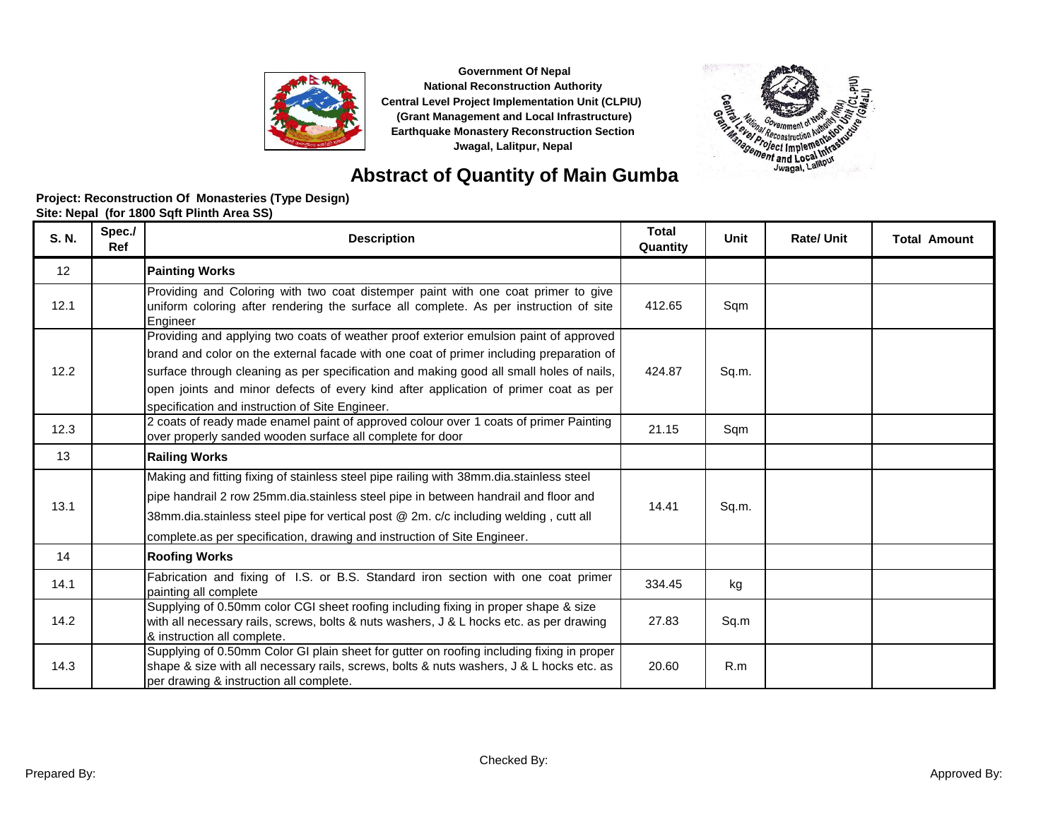



### **Abstract of Quantity of Main Gumba**

| <b>S. N.</b> | Spec./<br><b>Ref</b> | <b>Description</b>                                                                                                                                                                                                               | <b>Total</b><br>Quantity | <b>Unit</b> | <b>Rate/Unit</b> | <b>Total Amount</b> |  |
|--------------|----------------------|----------------------------------------------------------------------------------------------------------------------------------------------------------------------------------------------------------------------------------|--------------------------|-------------|------------------|---------------------|--|
| 12           |                      | <b>Painting Works</b>                                                                                                                                                                                                            |                          |             |                  |                     |  |
| 12.1         |                      | Providing and Coloring with two coat distemper paint with one coat primer to give<br>uniform coloring after rendering the surface all complete. As per instruction of site<br>Engineer                                           | 412.65                   | Sqm         |                  |                     |  |
|              |                      | Providing and applying two coats of weather proof exterior emulsion paint of approved                                                                                                                                            |                          |             |                  |                     |  |
|              |                      | brand and color on the external facade with one coat of primer including preparation of                                                                                                                                          |                          |             |                  |                     |  |
| 12.2         |                      | surface through cleaning as per specification and making good all small holes of nails,                                                                                                                                          | 424.87                   | Sq.m.       |                  |                     |  |
|              |                      | open joints and minor defects of every kind after application of primer coat as per                                                                                                                                              |                          |             |                  |                     |  |
|              |                      | specification and instruction of Site Engineer.                                                                                                                                                                                  |                          |             |                  |                     |  |
| 12.3         |                      | 2 coats of ready made enamel paint of approved colour over 1 coats of primer Painting<br>over properly sanded wooden surface all complete for door                                                                               | 21.15                    | Sqm         |                  |                     |  |
| 13           |                      | <b>Railing Works</b>                                                                                                                                                                                                             |                          |             |                  |                     |  |
|              |                      | Making and fitting fixing of stainless steel pipe railing with 38mm.dia.stainless steel                                                                                                                                          |                          |             |                  |                     |  |
|              |                      | pipe handrail 2 row 25mm.dia.stainless steel pipe in between handrail and floor and                                                                                                                                              | 14.41                    |             |                  |                     |  |
| 13.1         |                      | 38mm.dia.stainless steel pipe for vertical post @ 2m. c/c including welding, cutt all                                                                                                                                            |                          |             | Sq.m.            |                     |  |
|              |                      | complete as per specification, drawing and instruction of Site Engineer.                                                                                                                                                         |                          |             |                  |                     |  |
| 14           |                      | <b>Roofing Works</b>                                                                                                                                                                                                             |                          |             |                  |                     |  |
| 14.1         |                      | Fabrication and fixing of I.S. or B.S. Standard iron section with one coat primer<br>painting all complete                                                                                                                       | 334.45                   | kg          |                  |                     |  |
| 14.2         |                      | Supplying of 0.50mm color CGI sheet roofing including fixing in proper shape & size<br>with all necessary rails, screws, bolts & nuts washers, J & L hocks etc. as per drawing<br>& instruction all complete.                    | 27.83                    | Sq.m        |                  |                     |  |
| 14.3         |                      | Supplying of 0.50mm Color GI plain sheet for gutter on roofing including fixing in proper<br>shape & size with all necessary rails, screws, bolts & nuts washers, J & L hocks etc. as<br>per drawing & instruction all complete. | 20.60                    | R.m         |                  |                     |  |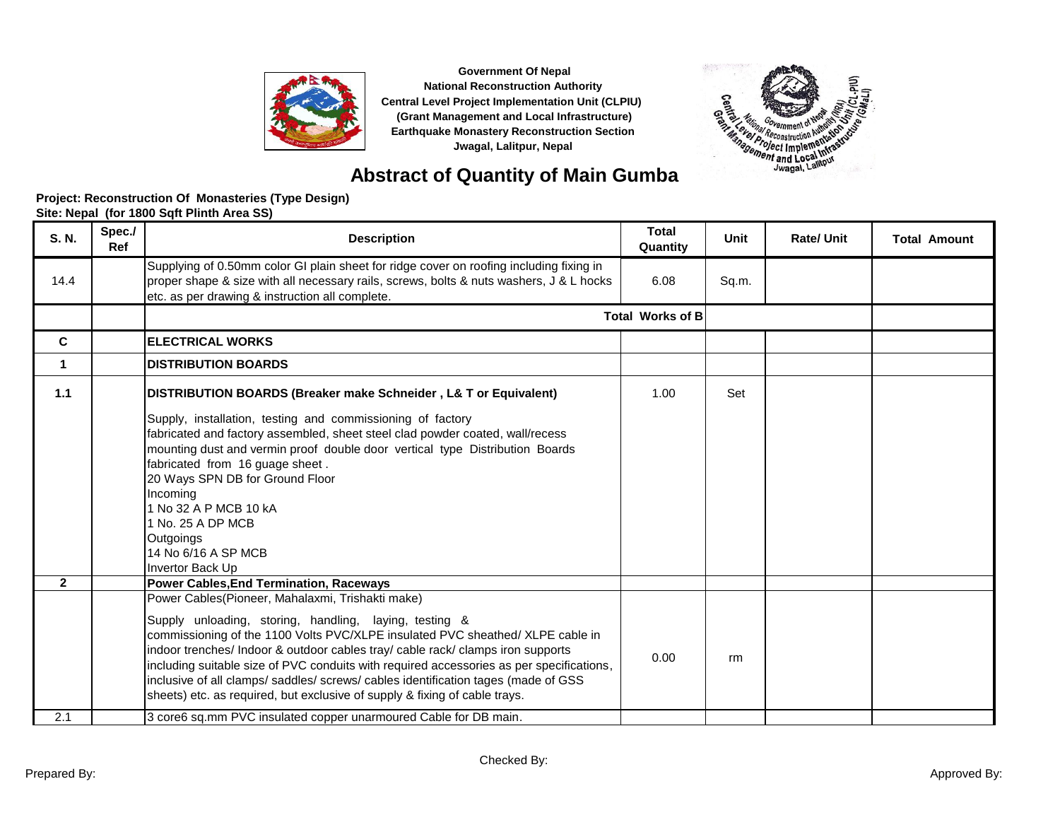



### **Abstract of Quantity of Main Gumba**

| <b>S. N.</b> | Spec./<br>Ref | <b>Description</b>                                                                                                                                                                                                                                                                                                                                                                                                                                                                                                                                                                                | Total<br>Quantity       | <b>Unit</b> | <b>Rate/Unit</b> | <b>Total Amount</b> |
|--------------|---------------|---------------------------------------------------------------------------------------------------------------------------------------------------------------------------------------------------------------------------------------------------------------------------------------------------------------------------------------------------------------------------------------------------------------------------------------------------------------------------------------------------------------------------------------------------------------------------------------------------|-------------------------|-------------|------------------|---------------------|
| 14.4         |               | Supplying of 0.50mm color GI plain sheet for ridge cover on roofing including fixing in<br>proper shape & size with all necessary rails, screws, bolts & nuts washers, J & L hocks<br>etc. as per drawing & instruction all complete.                                                                                                                                                                                                                                                                                                                                                             | 6.08                    | Sq.m.       |                  |                     |
|              |               |                                                                                                                                                                                                                                                                                                                                                                                                                                                                                                                                                                                                   | <b>Total Works of B</b> |             |                  |                     |
| C            |               | <b>ELECTRICAL WORKS</b>                                                                                                                                                                                                                                                                                                                                                                                                                                                                                                                                                                           |                         |             |                  |                     |
| $\mathbf{1}$ |               | <b>DISTRIBUTION BOARDS</b>                                                                                                                                                                                                                                                                                                                                                                                                                                                                                                                                                                        |                         |             |                  |                     |
| 1.1          |               | DISTRIBUTION BOARDS (Breaker make Schneider, L& T or Equivalent)<br>Supply, installation, testing and commissioning of factory<br>fabricated and factory assembled, sheet steel clad powder coated, wall/recess<br>mounting dust and vermin proof double door vertical type Distribution Boards<br>fabricated from 16 guage sheet.<br>20 Ways SPN DB for Ground Floor<br>Incomina<br>1 No 32 A P MCB 10 kA<br>1 No. 25 A DP MCB<br>Outgoings                                                                                                                                                      | 1.00                    | Set         |                  |                     |
|              |               | 14 No 6/16 A SP MCB<br>Invertor Back Up                                                                                                                                                                                                                                                                                                                                                                                                                                                                                                                                                           |                         |             |                  |                     |
| $\mathbf{2}$ |               | <b>Power Cables, End Termination, Raceways</b><br>Power Cables(Pioneer, Mahalaxmi, Trishakti make)<br>Supply unloading, storing, handling, laying, testing &<br>commissioning of the 1100 Volts PVC/XLPE insulated PVC sheathed/ XLPE cable in<br>indoor trenches/ Indoor & outdoor cables tray/ cable rack/ clamps iron supports<br>including suitable size of PVC conduits with required accessories as per specifications,<br>inclusive of all clamps/ saddles/ screws/ cables identification tages (made of GSS<br>sheets) etc. as required, but exclusive of supply & fixing of cable trays. | 0.00                    | rm          |                  |                     |
| 2.1          |               | 3 core6 sq.mm PVC insulated copper unarmoured Cable for DB main.                                                                                                                                                                                                                                                                                                                                                                                                                                                                                                                                  |                         |             |                  |                     |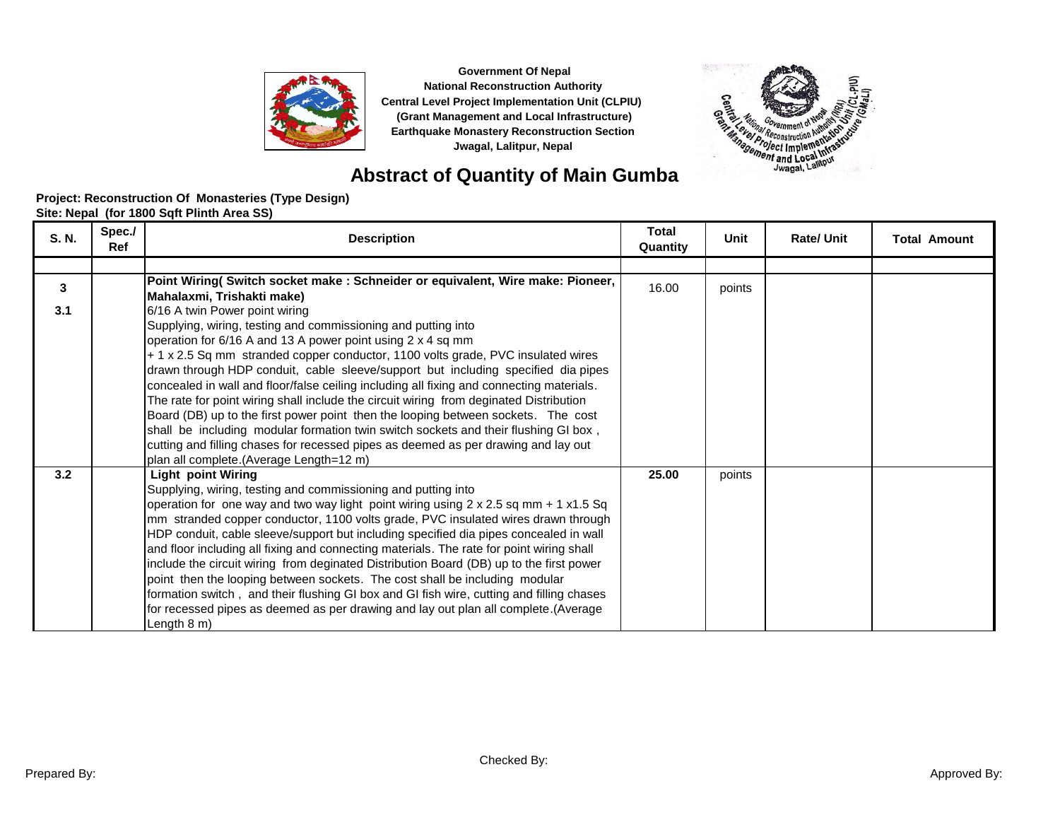



### **Abstract of Quantity of Main Gumba**

| <b>S. N.</b> | Spec./<br><b>Ref</b> | <b>Description</b>                                                                                                                                                                                                                                                                                                                                                                                                                                                                                                                                                                                                                                                                                                                                                                                                                                     | <b>Total</b><br>Quantity | <b>Unit</b> | <b>Rate/Unit</b> | <b>Total Amount</b> |
|--------------|----------------------|--------------------------------------------------------------------------------------------------------------------------------------------------------------------------------------------------------------------------------------------------------------------------------------------------------------------------------------------------------------------------------------------------------------------------------------------------------------------------------------------------------------------------------------------------------------------------------------------------------------------------------------------------------------------------------------------------------------------------------------------------------------------------------------------------------------------------------------------------------|--------------------------|-------------|------------------|---------------------|
|              |                      |                                                                                                                                                                                                                                                                                                                                                                                                                                                                                                                                                                                                                                                                                                                                                                                                                                                        |                          |             |                  |                     |
| 3            |                      | Point Wiring( Switch socket make : Schneider or equivalent, Wire make: Pioneer,<br>Mahalaxmi, Trishakti make)                                                                                                                                                                                                                                                                                                                                                                                                                                                                                                                                                                                                                                                                                                                                          | 16.00                    | points      |                  |                     |
| 3.1          |                      | 6/16 A twin Power point wiring<br>Supplying, wiring, testing and commissioning and putting into<br>operation for 6/16 A and 13 A power point using 2 x 4 sq mm<br>+ 1 x 2.5 Sq mm stranded copper conductor, 1100 volts grade, PVC insulated wires<br>drawn through HDP conduit, cable sleeve/support but including specified dia pipes<br>concealed in wall and floor/false ceiling including all fixing and connecting materials.<br>The rate for point wiring shall include the circuit wiring from deginated Distribution<br>Board (DB) up to the first power point then the looping between sockets. The cost<br>shall be including modular formation twin switch sockets and their flushing GI box,<br>cutting and filling chases for recessed pipes as deemed as per drawing and lay out<br>plan all complete.(Average Length=12 m)             |                          |             |                  |                     |
| 3.2          |                      | <b>Light point Wiring</b><br>Supplying, wiring, testing and commissioning and putting into<br>operation for one way and two way light point wiring using $2 \times 2.5$ sq mm + 1 $\times 1.5$ Sq<br>mm stranded copper conductor, 1100 volts grade, PVC insulated wires drawn through<br>HDP conduit, cable sleeve/support but including specified dia pipes concealed in wall<br>and floor including all fixing and connecting materials. The rate for point wiring shall<br>include the circuit wiring from deginated Distribution Board (DB) up to the first power<br>point then the looping between sockets. The cost shall be including modular<br>formation switch, and their flushing GI box and GI fish wire, cutting and filling chases<br>for recessed pipes as deemed as per drawing and lay out plan all complete.(Average<br>Length 8 m) | 25.00                    | points      |                  |                     |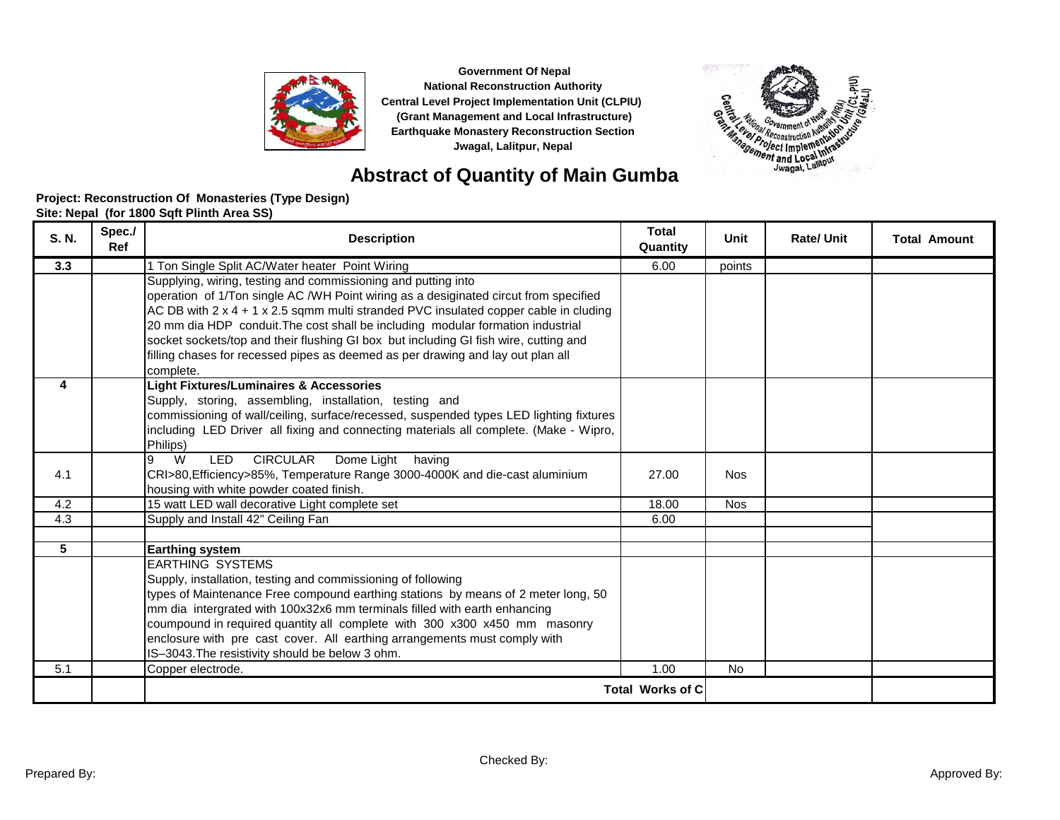



# **Abstract of Quantity of Main Gumba**

| S. N. | Spec./<br>Ref | <b>Description</b>                                                                                                                                     | <b>Total</b><br>Quantity | Unit       | <b>Rate/Unit</b> | <b>Total Amount</b> |
|-------|---------------|--------------------------------------------------------------------------------------------------------------------------------------------------------|--------------------------|------------|------------------|---------------------|
| 3.3   |               | 1 Ton Single Split AC/Water heater Point Wiring                                                                                                        | 6.00                     | points     |                  |                     |
|       |               | Supplying, wiring, testing and commissioning and putting into<br>operation of 1/Ton single AC /WH Point wiring as a desiginated circut from specified  |                          |            |                  |                     |
|       |               | AC DB with 2 x 4 + 1 x 2.5 sqmm multi stranded PVC insulated copper cable in cluding                                                                   |                          |            |                  |                     |
|       |               | 20 mm dia HDP conduit. The cost shall be including modular formation industrial                                                                        |                          |            |                  |                     |
|       |               | socket sockets/top and their flushing GI box but including GI fish wire, cutting and                                                                   |                          |            |                  |                     |
|       |               | filling chases for recessed pipes as deemed as per drawing and lay out plan all<br>complete.                                                           |                          |            |                  |                     |
| 4     |               | <b>Light Fixtures/Luminaires &amp; Accessories</b>                                                                                                     |                          |            |                  |                     |
|       |               | Supply, storing, assembling, installation, testing and                                                                                                 |                          |            |                  |                     |
|       |               | commissioning of wall/ceiling, surface/recessed, suspended types LED lighting fixtures                                                                 |                          |            |                  |                     |
|       |               | including LED Driver all fixing and connecting materials all complete. (Make - Wipro,                                                                  |                          |            |                  |                     |
|       |               | Philips)                                                                                                                                               |                          |            |                  |                     |
| 4.1   |               | <b>CIRCULAR</b><br>Dome Light having<br>W<br><b>LED</b>                                                                                                |                          |            |                  |                     |
|       |               | CRI>80, Efficiency>85%, Temperature Range 3000-4000K and die-cast aluminium<br>housing with white powder coated finish.                                | 27.00                    | <b>Nos</b> |                  |                     |
| 4.2   |               | 15 watt LED wall decorative Light complete set                                                                                                         | 18.00                    | <b>Nos</b> |                  |                     |
| 4.3   |               | Supply and Install 42" Ceiling Fan                                                                                                                     | 6.00                     |            |                  |                     |
| 5     |               | <b>Earthing system</b>                                                                                                                                 |                          |            |                  |                     |
|       |               | <b>EARTHING SYSTEMS</b>                                                                                                                                |                          |            |                  |                     |
|       |               | Supply, installation, testing and commissioning of following                                                                                           |                          |            |                  |                     |
|       |               | types of Maintenance Free compound earthing stations by means of 2 meter long, 50                                                                      |                          |            |                  |                     |
|       |               | mm dia intergrated with 100x32x6 mm terminals filled with earth enhancing                                                                              |                          |            |                  |                     |
|       |               | coumpound in required quantity all complete with 300 x300 x450 mm masonry<br>enclosure with pre cast cover. All earthing arrangements must comply with |                          |            |                  |                     |
|       |               | IS-3043. The resistivity should be below 3 ohm.                                                                                                        |                          |            |                  |                     |
| 5.1   |               | Copper electrode.                                                                                                                                      | 1.00                     | <b>No</b>  |                  |                     |
|       |               |                                                                                                                                                        | <b>Total Works of C</b>  |            |                  |                     |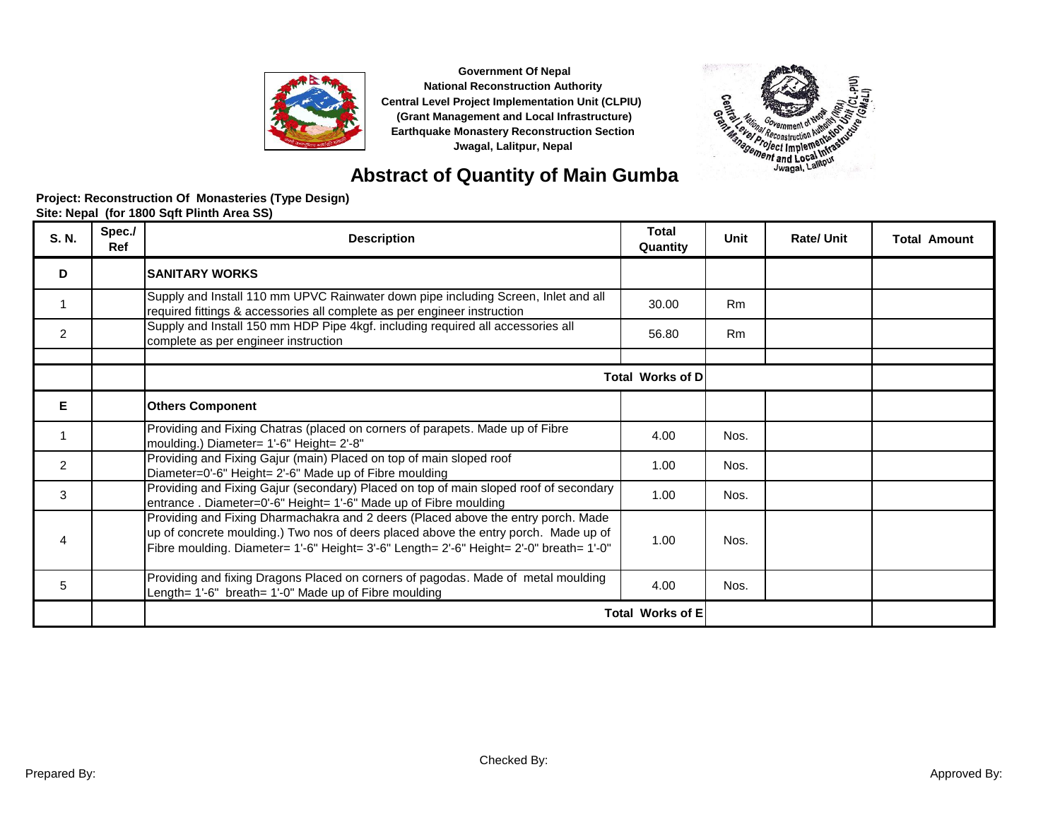



### **Abstract of Quantity of Main Gumba**

| S. N. | Spec./<br>Ref | <b>Description</b>                                                                                                                                                                                                                                                  | <b>Total</b><br>Quantity | Unit           | <b>Rate/Unit</b> | <b>Total Amount</b> |  |
|-------|---------------|---------------------------------------------------------------------------------------------------------------------------------------------------------------------------------------------------------------------------------------------------------------------|--------------------------|----------------|------------------|---------------------|--|
| D     |               | <b>SANITARY WORKS</b>                                                                                                                                                                                                                                               |                          |                |                  |                     |  |
|       |               | Supply and Install 110 mm UPVC Rainwater down pipe including Screen, Inlet and all<br>required fittings & accessories all complete as per engineer instruction                                                                                                      | 30.00                    | <b>Rm</b>      |                  |                     |  |
| 2     |               | Supply and Install 150 mm HDP Pipe 4kgf. including required all accessories all<br>complete as per engineer instruction                                                                                                                                             | 56.80                    | R <sub>m</sub> |                  |                     |  |
|       |               |                                                                                                                                                                                                                                                                     | <b>Total Works of D</b>  |                |                  |                     |  |
| Е     |               | <b>Others Component</b>                                                                                                                                                                                                                                             |                          |                |                  |                     |  |
|       |               | Providing and Fixing Chatras (placed on corners of parapets. Made up of Fibre<br>moulding.) Diameter= 1'-6" Height= 2'-8"                                                                                                                                           | 4.00                     | Nos.           |                  |                     |  |
| 2     |               | Providing and Fixing Gajur (main) Placed on top of main sloped roof<br>Diameter=0'-6" Height= 2'-6" Made up of Fibre moulding                                                                                                                                       | 1.00                     | Nos.           |                  |                     |  |
| 3     |               | Providing and Fixing Gajur (secondary) Placed on top of main sloped roof of secondary<br>entrance. Diameter=0'-6" Height= 1'-6" Made up of Fibre moulding                                                                                                           | 1.00                     | Nos.           |                  |                     |  |
| 4     |               | Providing and Fixing Dharmachakra and 2 deers (Placed above the entry porch. Made<br>up of concrete moulding.) Two nos of deers placed above the entry porch. Made up of<br>Fibre moulding. Diameter= 1'-6" Height= 3'-6" Length= 2'-6" Height= 2'-0" breath= 1'-0" | 1.00                     | Nos.           |                  |                     |  |
| 5     |               | Providing and fixing Dragons Placed on corners of pagodas. Made of metal moulding<br>Length= 1'-6" breath= 1'-0" Made up of Fibre moulding                                                                                                                          | 4.00                     | Nos.           |                  |                     |  |
|       |               | <b>Total Works of E</b>                                                                                                                                                                                                                                             |                          |                |                  |                     |  |